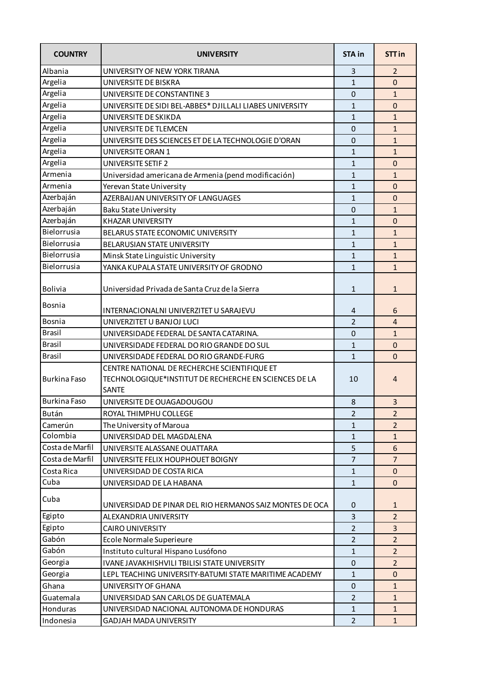| <b>COUNTRY</b>      | <b>UNIVERSITY</b>                                                                                                     | <b>STA in</b>  | STT in         |
|---------------------|-----------------------------------------------------------------------------------------------------------------------|----------------|----------------|
| Albania             | UNIVERSITY OF NEW YORK TIRANA                                                                                         | 3              | 2              |
| Argelia             | UNIVERSITE DE BISKRA                                                                                                  | $\mathbf{1}$   | $\mathbf 0$    |
| Argelia             | UNIVERSITE DE CONSTANTINE 3                                                                                           | 0              | $\mathbf{1}$   |
| Argelia             | UNIVERSITE DE SIDI BEL-ABBES* DJILLALI LIABES UNIVERSITY                                                              | $\mathbf{1}$   | $\mathbf 0$    |
| Argelia             | UNIVERSITE DE SKIKDA                                                                                                  | $\mathbf{1}$   | $\mathbf{1}$   |
| Argelia             | UNIVERSITE DE TLEMCEN                                                                                                 | 0              | $\mathbf{1}$   |
| Argelia             | UNIVERSITE DES SCIENCES ET DE LA TECHNOLOGIE D'ORAN                                                                   | $\mathbf 0$    | $\mathbf{1}$   |
| Argelia             | UNIVERSITE ORAN 1                                                                                                     | $\mathbf{1}$   | $\mathbf{1}$   |
| Argelia             | <b>UNIVERSITE SETIF 2</b>                                                                                             | $\mathbf{1}$   | $\mathbf 0$    |
| Armenia             | Universidad americana de Armenia (pend modificación)                                                                  | $\mathbf{1}$   | $\mathbf{1}$   |
| Armenia             | Yerevan State University                                                                                              | $\mathbf{1}$   | $\mathbf 0$    |
| Azerbaján           | AZERBAIJAN UNIVERSITY OF LANGUAGES                                                                                    | $\mathbf{1}$   | $\pmb{0}$      |
| Azerbaján           | <b>Baku State University</b>                                                                                          | 0              | $\mathbf{1}$   |
| Azerbaján           | KHAZAR UNIVERSITY                                                                                                     | $\mathbf{1}$   | $\mathbf 0$    |
| Bielorrusia         | BELARUS STATE ECONOMIC UNIVERSITY                                                                                     | $\mathbf{1}$   | $\mathbf{1}$   |
| Bielorrusia         | <b>BELARUSIAN STATE UNIVERSITY</b>                                                                                    | $\mathbf{1}$   | $\mathbf{1}$   |
| <b>Bielorrusia</b>  | Minsk State Linguistic University                                                                                     | $\mathbf{1}$   | $\mathbf{1}$   |
| Bielorrusia         | YANKA KUPALA STATE UNIVERSITY OF GRODNO                                                                               | $\mathbf{1}$   | $\mathbf{1}$   |
| Bolivia             | Universidad Privada de Santa Cruz de la Sierra                                                                        | $\mathbf{1}$   | $\mathbf{1}$   |
| Bosnia              | INTERNACIONALNI UNIVERZITET U SARAJEVU                                                                                | 4              | 6              |
| Bosnia              | UNIVERZITET U BANJOJ LUCI                                                                                             | $\overline{2}$ | $\overline{4}$ |
| <b>Brasil</b>       | UNIVERSIDADE FEDERAL DE SANTA CATARINA.                                                                               | $\mathbf 0$    | $\mathbf{1}$   |
| <b>Brasil</b>       | UNIVERSIDADE FEDERAL DO RIO GRANDE DO SUL                                                                             | $\mathbf{1}$   | $\mathbf 0$    |
| <b>Brasil</b>       | UNIVERSIDADE FEDERAL DO RIO GRANDE-FURG                                                                               | $\mathbf{1}$   | $\overline{0}$ |
| <b>Burkina Faso</b> | CENTRE NATIONAL DE RECHERCHE SCIENTIFIQUE ET<br>TECHNOLOGIQUE*INSTITUT DE RECHERCHE EN SCIENCES DE LA<br><b>SANTE</b> | 10             | 4              |
| <b>Burkina Faso</b> | UNIVERSITE DE OUAGADOUGOU                                                                                             | 8              | 3              |
| Bután               | ROYAL THIMPHU COLLEGE                                                                                                 | $\overline{2}$ | $\overline{2}$ |
| Camerún             | The University of Maroua                                                                                              | $\mathbf{1}$   | $\overline{2}$ |
| Colombia            | UNIVERSIDAD DEL MAGDALENA                                                                                             | $\mathbf{1}$   | $\mathbf{1}$   |
| Costa de Marfil     | UNIVERSITE ALASSANE OUATTARA                                                                                          | 5              | 6              |
| Costa de Marfil     | UNIVERSITE FELIX HOUPHOUET BOIGNY                                                                                     | $\overline{7}$ | $\overline{7}$ |
| Costa Rica          | UNIVERSIDAD DE COSTA RICA                                                                                             | $\mathbf{1}$   | $\mathbf 0$    |
| Cuba                | UNIVERSIDAD DE LA HABANA                                                                                              | $\mathbf{1}$   | $\mathbf 0$    |
| Cuba                | UNIVERSIDAD DE PINAR DEL RIO HERMANOS SAIZ MONTES DE OCA                                                              | 0              | $\mathbf{1}$   |
| Egipto              | ALEXANDRIA UNIVERSITY                                                                                                 | 3              | $\overline{2}$ |
| Egipto              | <b>CAIRO UNIVERSITY</b>                                                                                               | $\overline{2}$ | 3              |
| Gabón               | Ecole Normale Superieure                                                                                              | $\overline{2}$ | $\overline{2}$ |
| Gabón               | Instituto cultural Hispano Lusófono                                                                                   | $\mathbf{1}$   | $\overline{2}$ |
| Georgia             | IVANE JAVAKHISHVILI TBILISI STATE UNIVERSITY                                                                          | $\mathbf 0$    | $\overline{2}$ |
| Georgia             | LEPL TEACHING UNIVERSITY-BATUMI STATE MARITIME ACADEMY                                                                | $\mathbf{1}$   | 0              |
| Ghana               | UNIVERSITY OF GHANA                                                                                                   | $\mathbf 0$    | $\mathbf{1}$   |
| Guatemala           | UNIVERSIDAD SAN CARLOS DE GUATEMALA                                                                                   | $\overline{2}$ | $\mathbf{1}$   |
| Honduras            | UNIVERSIDAD NACIONAL AUTONOMA DE HONDURAS                                                                             | $\mathbf{1}$   | $\mathbf{1}$   |
| Indonesia           | GADJAH MADA UNIVERSITY                                                                                                | $\overline{2}$ | $\mathbf{1}$   |